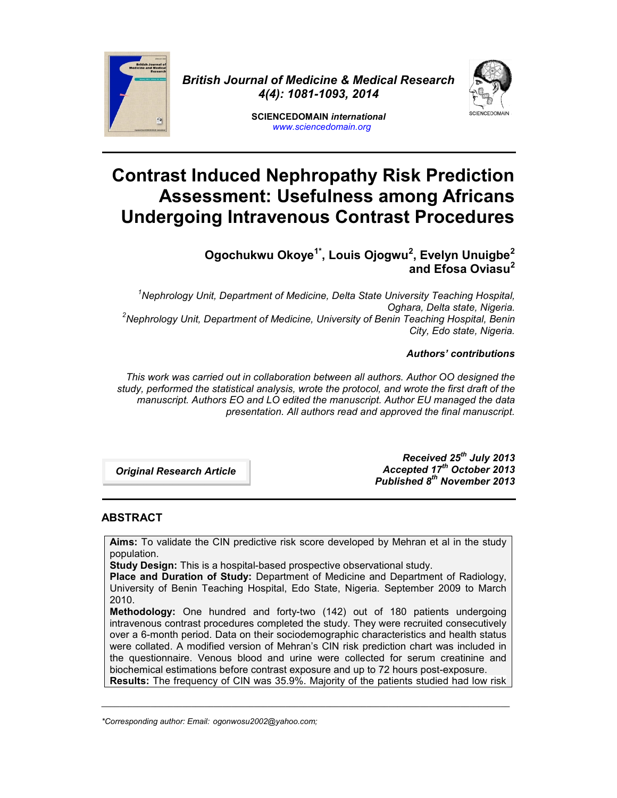

*British Journal of Medicine & Medical Research 4(4): 1081-1093, 2014*



**SCIENCEDOMAIN** *international www.sciencedomain.org*

# **Contrast Induced Nephropathy Risk Prediction Assessment: Usefulness among Africans Undergoing Intravenous Contrast Procedures**

**Ogochukwu Okoye1\*, Louis Ojogwu<sup>2</sup> , Evelyn Unuigbe<sup>2</sup> and Efosa Oviasu<sup>2</sup>**

*<sup>1</sup>Nephrology Unit, Department of Medicine, Delta State University Teaching Hospital, Oghara, Delta state, Nigeria. <sup>2</sup>Nephrology Unit, Department of Medicine, University of Benin Teaching Hospital, Benin City, Edo state, Nigeria.*

## *Authors' contributions*

*This work was carried out in collaboration between all authors. Author OO designed the study, performed the statistical analysis, wrote the protocol, and wrote the first draft of the manuscript. Authors EO and LO edited the manuscript. Author EU managed the data presentation. All authors read and approved the final manuscript.*

*Original Research Article art………… Articlree*

*Received 25th July 2013 Accepted 17th October 2013 Published 8 th November 2013*

# **ABSTRACT**

**Aims:** To validate the CIN predictive risk score developed by Mehran et al in the study population.

**Study Design:** This is a hospital-based prospective observational study.

**Place and Duration of Study:** Department of Medicine and Department of Radiology, University of Benin Teaching Hospital, Edo State, Nigeria. September 2009 to March 2010.

**Methodology:** One hundred and forty-two (142) out of 180 patients undergoing intravenous contrast procedures completed the study. They were recruited consecutively over a 6-month period. Data on their sociodemographic characteristics and health status were collated. A modified version of Mehran's CIN risk prediction chart was included in the questionnaire. Venous blood and urine were collected for serum creatinine and biochemical estimations before contrast exposure and up to 72 hours post-exposure. **Results:** The frequency of CIN was 35.9%. Majority of the patients studied had low risk

\_\_\_\_\_\_\_\_\_\_\_\_\_\_\_\_\_\_\_\_\_\_\_\_\_\_\_\_\_\_\_\_\_\_\_\_\_\_\_\_\_\_\_\_\_\_\_\_\_\_\_\_\_\_\_\_\_\_\_\_\_\_\_\_\_\_\_\_\_\_\_\_\_\_\_\_\_\_\_\_\_\_\_\_\_\_\_\_\_\_\_

*<sup>\*</sup>Corresponding author: Email: ogonwosu2002@yahoo.com;*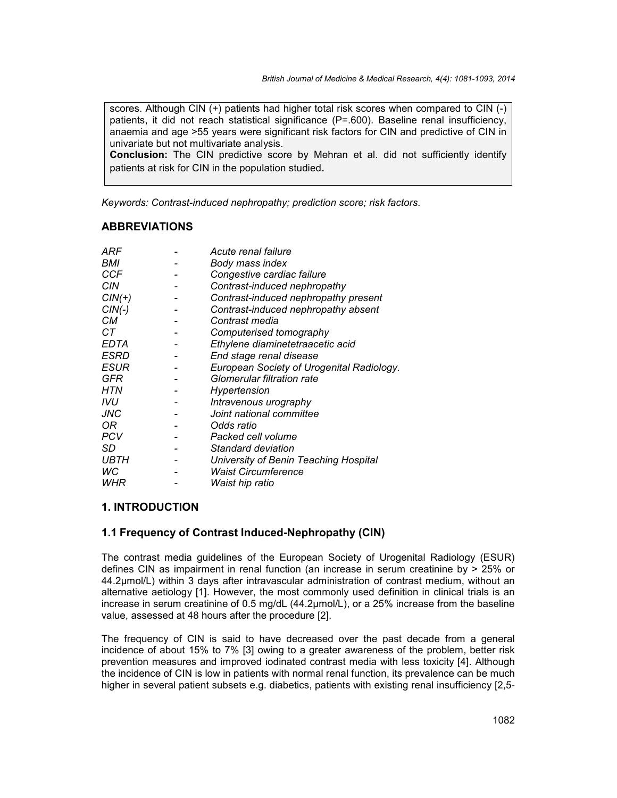scores. Although CIN (+) patients had higher total risk scores when compared to CIN (-) patients, it did not reach statistical significance (P=.600). Baseline renal insufficiency, anaemia and age >55 years were significant risk factors for CIN and predictive of CIN in univariate but not multivariate analysis.

**Conclusion:** The CIN predictive score by Mehran et al. did not sufficiently identify patients at risk for CIN in the population studied.

*Keywords: Contrast-induced nephropathy; prediction score; risk factors.*

# **ABBREVIATIONS**

| ARF         | Acute renal failure                       |
|-------------|-------------------------------------------|
| BMI         | Body mass index                           |
| <b>CCF</b>  | Congestive cardiac failure                |
| <b>CIN</b>  | Contrast-induced nephropathy              |
| $CIN(+)$    | Contrast-induced nephropathy present      |
| $CIN(-)$    | Contrast-induced nephropathy absent       |
| CМ          | Contrast media                            |
| CТ          | Computerised tomography                   |
| <b>EDTA</b> | Ethylene diaminetetraacetic acid          |
| ESRD        | End stage renal disease                   |
| ESUR        | European Society of Urogenital Radiology. |
| GFR         | Glomerular filtration rate                |
| HTN         | Hypertension                              |
| IVU         | Intravenous urography                     |
| JNC         | Joint national committee                  |
| OR.         | Odds ratio                                |
| <b>PCV</b>  | Packed cell volume                        |
| SD          | Standard deviation                        |
| UBTH        | University of Benin Teaching Hospital     |
| WC          | <b>Waist Circumference</b>                |
| WHR         | Waist hip ratio                           |

## **1. INTRODUCTION**

## **1.1 Frequency of Contrast Induced-Nephropathy (CIN)**

The contrast media guidelines of the European Society of Urogenital Radiology (ESUR) defines CIN as impairment in renal function (an increase in serum creatinine by > 25% or 44.2µmol/L) within 3 days after intravascular administration of contrast medium, without an alternative aetiology [1]. However, the most commonly used definition in clinical trials is an increase in serum creatinine of 0.5 mg/dL (44.2µmol/L), or a 25% increase from the baseline value, assessed at 48 hours after the procedure [2].

The frequency of CIN is said to have decreased over the past decade from a general incidence of about 15% to 7% [3] owing to a greater awareness of the problem, better risk prevention measures and improved iodinated contrast media with less toxicity [4]. Although the incidence of CIN is low in patients with normal renal function, its prevalence can be much higher in several patient subsets e.g. diabetics, patients with existing renal insufficiency [2,5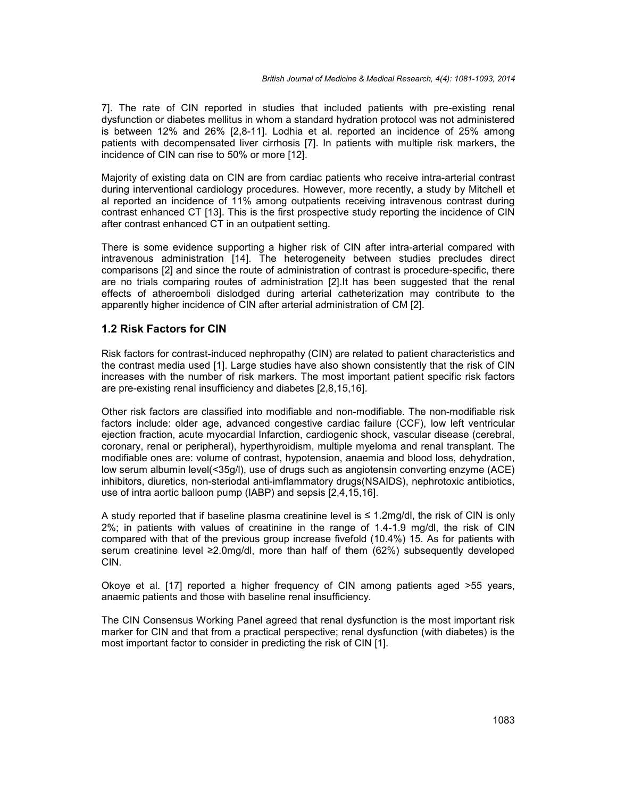7]. The rate of CIN reported in studies that included patients with pre-existing renal dysfunction or diabetes mellitus in whom a standard hydration protocol was not administered is between 12% and 26% [2,8-11]. Lodhia et al. reported an incidence of 25% among patients with decompensated liver cirrhosis [7]. In patients with multiple risk markers, the incidence of CIN can rise to 50% or more [12].

Majority of existing data on CIN are from cardiac patients who receive intra-arterial contrast during interventional cardiology procedures. However, more recently, a study by Mitchell et al reported an incidence of 11% among outpatients receiving intravenous contrast during contrast enhanced CT [13]. This is the first prospective study reporting the incidence of CIN after contrast enhanced CT in an outpatient setting.

There is some evidence supporting a higher risk of CIN after intra-arterial compared with intravenous administration [14]. The heterogeneity between studies precludes direct comparisons [2] and since the route of administration of contrast is procedure-specific, there are no trials comparing routes of administration [2].It has been suggested that the renal effects of atheroemboli dislodged during arterial catheterization may contribute to the apparently higher incidence of CIN after arterial administration of CM [2].

## **1.2 Risk Factors for CIN**

Risk factors for contrast-induced nephropathy (CIN) are related to patient characteristics and the contrast media used [1]. Large studies have also shown consistently that the risk of CIN increases with the number of risk markers. The most important patient specific risk factors are pre-existing renal insufficiency and diabetes [2,8,15,16].

Other risk factors are classified into modifiable and non-modifiable. The non-modifiable risk factors include: older age, advanced congestive cardiac failure (CCF), low left ventricular ejection fraction, acute myocardial Infarction, cardiogenic shock, vascular disease (cerebral, coronary, renal or peripheral), hyperthyroidism, multiple myeloma and renal transplant. The modifiable ones are: volume of contrast, hypotension, anaemia and blood loss, dehydration, low serum albumin level(<35g/l), use of drugs such as angiotensin converting enzyme (ACE) inhibitors, diuretics, non-steriodal anti-imflammatory drugs(NSAIDS), nephrotoxic antibiotics, use of intra aortic balloon pump (IABP) and sepsis [2,4,15,16].

A study reported that if baseline plasma creatinine level is ≤ 1.2mg/dl, the risk of CIN is only 2%; in patients with values of creatinine in the range of 1.4-1.9 mg/dl, the risk of CIN compared with that of the previous group increase fivefold (10.4%) 15. As for patients with serum creatinine level ≥2.0mg/dl, more than half of them (62%) subsequently developed CIN.

Okoye et al. [17] reported a higher frequency of CIN among patients aged >55 years, anaemic patients and those with baseline renal insufficiency.

The CIN Consensus Working Panel agreed that renal dysfunction is the most important risk marker for CIN and that from a practical perspective; renal dysfunction (with diabetes) is the most important factor to consider in predicting the risk of CIN [1].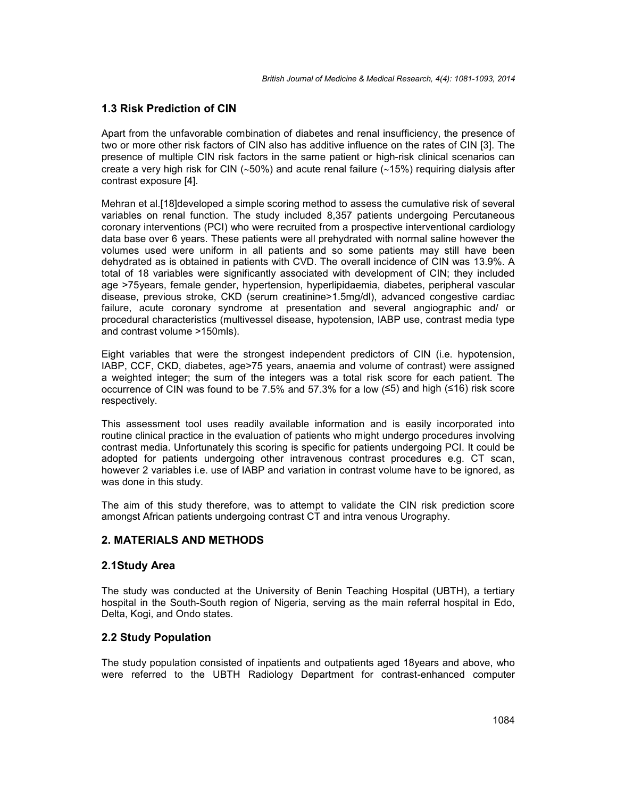## **1.3 Risk Prediction of CIN**

Apart from the unfavorable combination of diabetes and renal insufficiency, the presence of two or more other risk factors of CIN also has additive influence on the rates of CIN [3]. The presence of multiple CIN risk factors in the same patient or high-risk clinical scenarios can create a very high risk for CIN ( $\sim$ 50%) and acute renal failure ( $\sim$ 15%) requiring dialysis after contrast exposure [4].

Mehran et al.[18]developed a simple scoring method to assess the cumulative risk of several variables on renal function. The study included 8,357 patients undergoing Percutaneous coronary interventions (PCI) who were recruited from a prospective interventional cardiology data base over 6 years. These patients were all prehydrated with normal saline however the volumes used were uniform in all patients and so some patients may still have been dehydrated as is obtained in patients with CVD. The overall incidence of CIN was 13.9%. A total of 18 variables were significantly associated with development of CIN; they included age >75years, female gender, hypertension, hyperlipidaemia, diabetes, peripheral vascular disease, previous stroke, CKD (serum creatinine>1.5mg/dl), advanced congestive cardiac failure, acute coronary syndrome at presentation and several angiographic and/ or procedural characteristics (multivessel disease, hypotension, IABP use, contrast media type and contrast volume >150mls).

Eight variables that were the strongest independent predictors of CIN (i.e. hypotension, IABP, CCF, CKD, diabetes, age>75 years, anaemia and volume of contrast) were assigned a weighted integer; the sum of the integers was a total risk score for each patient. The occurrence of CIN was found to be 7.5% and 57.3% for a low (≤5) and high (≤16) risk score respectively.

This assessment tool uses readily available information and is easily incorporated into routine clinical practice in the evaluation of patients who might undergo procedures involving contrast media. Unfortunately this scoring is specific for patients undergoing PCI. It could be adopted for patients undergoing other intravenous contrast procedures e.g. CT scan, however 2 variables i.e. use of IABP and variation in contrast volume have to be ignored, as was done in this study.

The aim of this study therefore, was to attempt to validate the CIN risk prediction score amongst African patients undergoing contrast CT and intra venous Urography.

## **2. MATERIALS AND METHODS**

#### **2.1Study Area**

The study was conducted at the University of Benin Teaching Hospital (UBTH), a tertiary hospital in the South-South region of Nigeria, serving as the main referral hospital in Edo, Delta, Kogi, and Ondo states.

## **2.2 Study Population**

The study population consisted of inpatients and outpatients aged 18years and above, who were referred to the UBTH Radiology Department for contrast-enhanced computer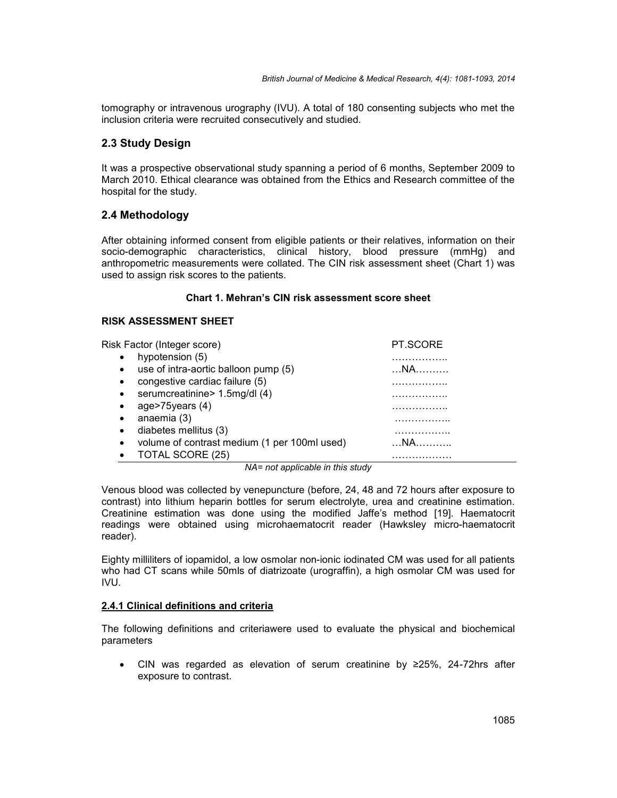tomography or intravenous urography (IVU). A total of 180 consenting subjects who met the inclusion criteria were recruited consecutively and studied.

# **2.3 Study Design**

It was a prospective observational study spanning a period of 6 months, September 2009 to March 2010. Ethical clearance was obtained from the Ethics and Research committee of the hospital for the study.

# **2.4 Methodology**

After obtaining informed consent from eligible patients or their relatives, information on their socio-demographic characteristics, clinical history, blood pressure (mmHg) and anthropometric measurements were collated. The CIN risk assessment sheet (Chart 1) was used to assign risk scores to the patients.

#### **Chart 1. Mehran's CIN risk assessment score sheet**

## **RISK ASSESSMENT SHEET**

| Risk Factor (Integer score)                               | PT.SCORE |
|-----------------------------------------------------------|----------|
| hypotension (5)<br>$\bullet$                              | .        |
| use of intra-aortic balloon pump (5)<br>$\bullet$         | NA       |
| congestive cardiac failure (5)<br>$\bullet$               | .        |
| serumcreatinine> 1.5mg/dl (4)<br>$\bullet$                | .        |
| age > $75$ years (4)<br>$\bullet$                         | .        |
| anaemia (3)<br>$\bullet$                                  | .        |
| diabetes mellitus (3)<br>$\bullet$                        | .        |
| volume of contrast medium (1 per 100ml used)<br>$\bullet$ | NA       |
| TOTAL SCORE (25)                                          | .        |

*NA= not applicable in this study*

Venous blood was collected by venepuncture (before, 24, 48 and 72 hours after exposure to contrast) into lithium heparin bottles for serum electrolyte, urea and creatinine estimation. Creatinine estimation was done using the modified Jaffe's method [19]. Haematocrit readings were obtained using microhaematocrit reader (Hawksley micro-haematocrit reader).

Eighty milliliters of iopamidol, a low osmolar non-ionic iodinated CM was used for all patients who had CT scans while 50mls of diatrizoate (urograffin), a high osmolar CM was used for IVU.

#### **2.4.1 Clinical definitions and criteria**

The following definitions and criteriawere used to evaluate the physical and biochemical parameters

 CIN was regarded as elevation of serum creatinine by ≥25%, 24-72hrs after exposure to contrast.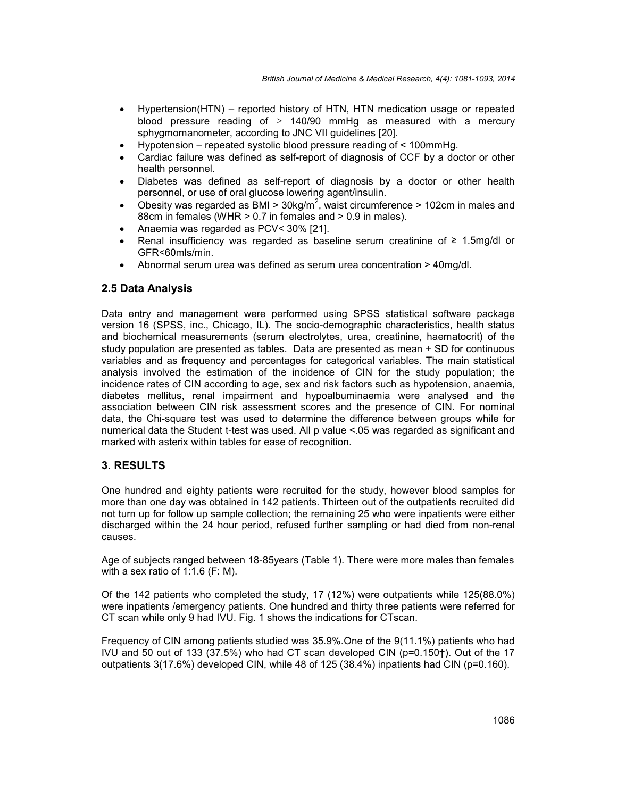- Hypertension(HTN) reported history of HTN, HTN medication usage or repeated blood pressure reading of  $\geq$  140/90 mmHg as measured with a mercury sphygmomanometer, according to JNC VII guidelines [20].
- Hypotension repeated systolic blood pressure reading of < 100mmHg.
- Cardiac failure was defined as self-report of diagnosis of CCF by a doctor or other health personnel.
- Diabetes was defined as self-report of diagnosis by a doctor or other health personnel, or use of oral glucose lowering agent/insulin.
- Obesity was regarded as BMI >  $30$ kg/m<sup>2</sup>, waist circumference > 102cm in males and 88cm in females (WHR > 0.7 in females and > 0.9 in males).
- Anaemia was regarded as PCV< 30% [21].
- Renal insufficiency was regarded as baseline serum creatinine of  $\geq 1.5$ mg/dl or GFR<60mls/min.
- Abnormal serum urea was defined as serum urea concentration > 40mg/dl.

## **2.5 Data Analysis**

Data entry and management were performed using SPSS statistical software package version 16 (SPSS, inc., Chicago, IL). The socio-demographic characteristics, health status and biochemical measurements (serum electrolytes, urea, creatinine, haematocrit) of the study population are presented as tables. Data are presented as mean  $\pm$  SD for continuous variables and as frequency and percentages for categorical variables. The main statistical analysis involved the estimation of the incidence of CIN for the study population; the incidence rates of CIN according to age, sex and risk factors such as hypotension, anaemia, diabetes mellitus, renal impairment and hypoalbuminaemia were analysed and the association between CIN risk assessment scores and the presence of CIN. For nominal data, the Chi-square test was used to determine the difference between groups while for numerical data the Student t-test was used. All p value <.05 was regarded as significant and marked with asterix within tables for ease of recognition.

## **3. RESULTS**

One hundred and eighty patients were recruited for the study, however blood samples for more than one day was obtained in 142 patients. Thirteen out of the outpatients recruited did not turn up for follow up sample collection; the remaining 25 who were inpatients were either discharged within the 24 hour period, refused further sampling or had died from non-renal causes.

Age of subjects ranged between 18-85years (Table 1). There were more males than females with a sex ratio of 1:1.6 (F: M).

Of the 142 patients who completed the study, 17 (12%) were outpatients while 125(88.0%) were inpatients /emergency patients. One hundred and thirty three patients were referred for CT scan while only 9 had IVU. Fig. 1 shows the indications for CTscan.

Frequency of CIN among patients studied was 35.9%.One of the 9(11.1%) patients who had IVU and 50 out of 133 (37.5%) who had CT scan developed CIN (p=0.150†). Out of the 17 outpatients 3(17.6%) developed CIN, while 48 of 125 (38.4%) inpatients had CIN (p=0.160).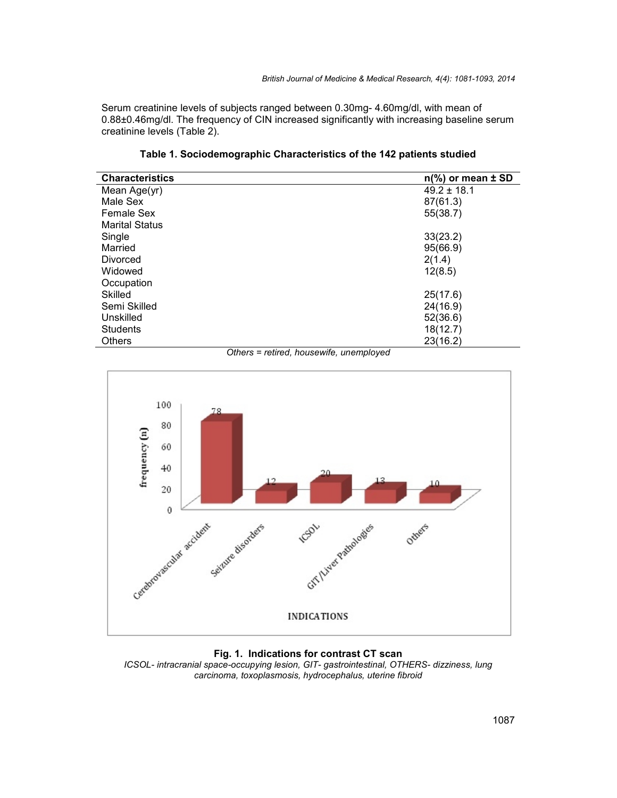Serum creatinine levels of subjects ranged between 0.30mg- 4.60mg/dl, with mean of 0.88±0.46mg/dl. The frequency of CIN increased significantly with increasing baseline serum creatinine levels (Table 2).

| <b>Characteristics</b> | $n\frac{9}{6}$ or mean $\pm$ SD |
|------------------------|---------------------------------|
| Mean Age(yr)           | $49.2 \pm 18.1$                 |
| Male Sex               | 87(61.3)                        |
| <b>Female Sex</b>      | 55(38.7)                        |
| <b>Marital Status</b>  |                                 |
| Single                 | 33(23.2)                        |
| Married                | 95(66.9)                        |
| Divorced               | 2(1.4)                          |
| Widowed                | 12(8.5)                         |
| Occupation             |                                 |
| <b>Skilled</b>         | 25(17.6)                        |
| Semi Skilled           | 24(16.9)                        |
| Unskilled              | 52(36.6)                        |
| <b>Students</b>        | 18(12.7)                        |
| <b>Others</b>          | 23(16.2)                        |

**Table 1. Sociodemographic Characteristics of the 142 patients studied**

*Others = retired, housewife, unemployed*



**Fig. 1. Indications for contrast CT scan** *ICSOL- intracranial space-occupying lesion, GIT- gastrointestinal, OTHERS- dizziness, lung carcinoma, toxoplasmosis, hydrocephalus, uterine fibroid*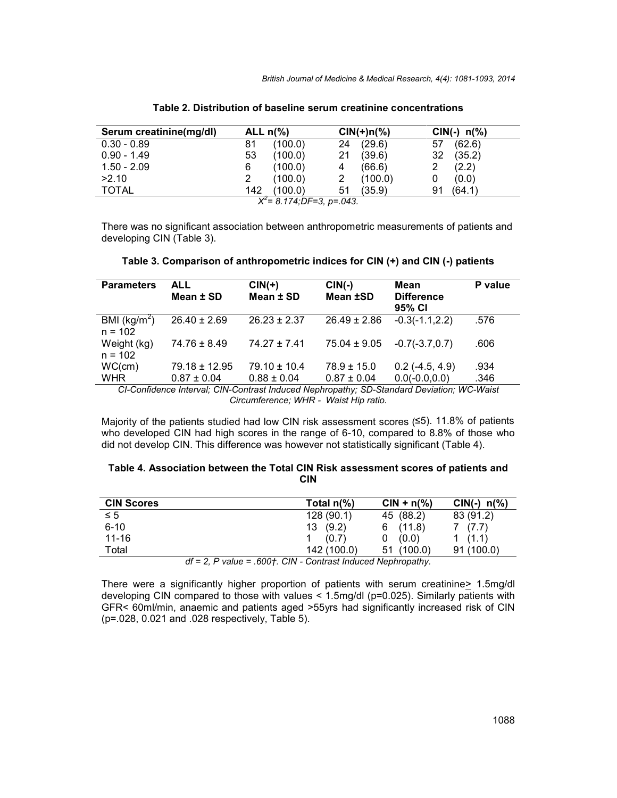| Serum creatinine(mg/dl) | ALL $n\frac{9}{6}$ |                             |    | $CIN(+)n(\%)$ |     | $CIN(-) n(\%)$ |
|-------------------------|--------------------|-----------------------------|----|---------------|-----|----------------|
| $0.30 - 0.89$           | 81                 | (100.0)                     | 24 | (29.6)        | 57  | (62.6)         |
| $0.90 - 1.49$           | 53                 | (100.0)                     | 21 | (39.6)        | 32. | (35.2)         |
| $1.50 - 2.09$           | 6                  | (100.0)                     | 4  | (66.6)        |     | (2.2)          |
| >2.10                   |                    | (100.0)                     |    | (100.0)       |     | (0.0)          |
| <b>TOTAL</b>            | 142                | (100.0)                     | 51 | (35.9)        | 91  | (64.1)         |
|                         |                    | $X^2$ = 8.174;DF=3, p=.043. |    |               |     |                |

#### **Table 2. Distribution of baseline serum creatinine concentrations**

There was no significant association between anthropometric measurements of patients and developing CIN (Table 3).

| <b>Parameters</b>                    | <b>ALL</b><br>Mean ± SD | $CIN(+)$<br>Mean ± SD | $CIN(-)$<br>Mean ±SD | Mean<br><b>Difference</b><br>95% CI | P value |
|--------------------------------------|-------------------------|-----------------------|----------------------|-------------------------------------|---------|
| BMI ( $\text{kg/m}^2$ )<br>$n = 102$ | $26.40 \pm 2.69$        | $26.23 \pm 2.37$      | $26.49 \pm 2.86$     | $-0.3(-1.1, 2.2)$                   | .576    |
| Weight (kg)<br>$n = 102$             | $74.76 \pm 8.49$        | $74.27 \pm 7.41$      | $75.04 \pm 9.05$     | $-0.7(-3.7.0.7)$                    | .606    |
| WC(cm)                               | $79.18 \pm 12.95$       | $79.10 \pm 10.4$      | $78.9 \pm 15.0$      | $0.2$ (-4.5, 4.9)                   | .934    |
| <b>WHR</b>                           | $0.87 \pm 0.04$         | $0.88 \pm 0.04$       | $0.87 \pm 0.04$      | $0.0(-0.0, 0.0)$                    | .346    |

*CI-Confidence Interval; CIN-Contrast Induced Nephropathy; SD-Standard Deviation; WC-Waist Circumference; WHR - Waist Hip ratio.*

Majority of the patients studied had low CIN risk assessment scores (≤5). 11.8% of patients who developed CIN had high scores in the range of 6-10, compared to 8.8% of those who did not develop CIN. This difference was however not statistically significant (Table 4).

#### **Table 4. Association between the Total CIN Risk assessment scores of patients and CIN**

| <b>CIN Scores</b> |                                                                                         | Total $n\frac{9}{6}$ | $CIN + n(\%)$ | $CIN(-) n(\%)$ |
|-------------------|-----------------------------------------------------------------------------------------|----------------------|---------------|----------------|
| $\leq 5$          |                                                                                         | 128(90.1)            | 45 (88.2)     | 83 (91.2)      |
| $6 - 10$          |                                                                                         | (9.2)<br>13          | 6(11.8)       | 7 (7.7)        |
| $11 - 16$         |                                                                                         | (0.7)                | (0.0)         | 1(1.1)         |
| Total             |                                                                                         | 142 (100.0)          | 51 (100.0)    | 91(100.0)      |
|                   | $d = 0$ $D$ is $\mu = \rho Q + \rho H$ $\sigma$ is the of indicated banks and the $\mu$ |                      |               |                |

*df = 2, P value = .600†. CIN - Contrast Induced Nephropathy.*

There were a significantly higher proportion of patients with serum creatinine> 1.5mg/dl developing CIN compared to those with values < 1.5mg/dl (p=0.025). Similarly patients with GFR< 60ml/min, anaemic and patients aged >55yrs had significantly increased risk of CIN (p=.028, 0.021 and .028 respectively, Table 5).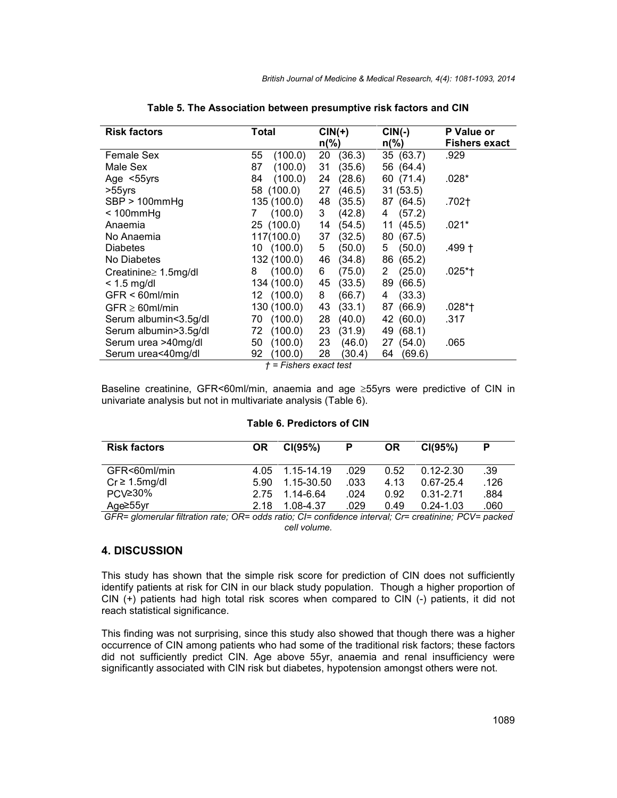| <b>Risk factors</b>         | Total         | $CIN(+)$<br>$n\frac{9}{6}$ | $CIN(-)$<br>$n\frac{9}{6}$ | <b>P</b> Value or<br><b>Fishers exact</b> |
|-----------------------------|---------------|----------------------------|----------------------------|-------------------------------------------|
| Female Sex                  | 55<br>(100.0) | 20<br>(36.3)               | 35 (63.7)                  | .929                                      |
| Male Sex                    | (100.0)<br>87 | (35.6)<br>31               | 56 (64.4)                  |                                           |
| Age $<$ 55 yrs              | (100.0)<br>84 | (28.6)<br>24               | 60 (71.4)                  | .028*                                     |
| >55yrs                      | 58 (100.0)    | (46.5)<br>27               | 31(53.5)                   |                                           |
| SBP > 100mmHg               | 135 (100.0)   | (35.5)<br>48               | 87 (64.5)                  | .702†                                     |
| $< 100$ mm $Hg$             | (100.0)<br>7  | (42.8)<br>3                | (57.2)<br>4                |                                           |
| Anaemia                     | 25 (100.0)    | (54.5)<br>14               | (45.5)<br>11               | .021*                                     |
| No Anaemia                  | 117(100.0)    | (32.5)<br>37               | (67.5)<br>80               |                                           |
| <b>Diabetes</b>             | 10 (100.0)    | (50.0)<br>5                | (50.0)<br>5.               | .499 †                                    |
| No Diabetes                 | 132 (100.0)   | (34.8)<br>46               | (65.2)<br>86               |                                           |
| Creatinine $\geq 1.5$ mg/dl | (100.0)<br>8  | (75.0)<br>6                | (25.0)<br>2                | .025*†                                    |
| $<$ 1.5 mg/dl               | 134 (100.0)   | (33.5)<br>45               | (66.5)<br>89               |                                           |
| $GFR < 60$ ml/min           | 12 (100.0)    | (66.7)<br>8                | (33.3)<br>4                |                                           |
| $GFR \geq 60$ ml/min        | 130 (100.0)   | (33.1)<br>43               | (66.9)<br>87               | .028*†                                    |
| Serum albumin<3.5g/dl       | (100.0)<br>70 | (40.0)<br>28               | 42 (60.0)                  | .317                                      |
| Serum albumin>3.5g/dl       | (100.0)<br>72 | (31.9)<br>23               | (68.1)<br>49               |                                           |
| Serum urea >40mg/dl         | (100.0)<br>50 | (46.0)<br>23               | 27 (54.0)                  | .065                                      |
| Serum urea<40mg/dl          | (100.0)<br>92 | (30.4)<br>28               | (69.6)<br>64               |                                           |

**Table 5. The Association between presumptive risk factors and CIN**

*† = Fishers exact test*

Baseline creatinine, GFR<60ml/min, anaemia and age  $\geq$ 55yrs were predictive of CIN in univariate analysis but not in multivariate analysis (Table 6).

#### **Table 6. Predictors of CIN**

| <b>Risk factors</b>                                                                                  | <b>OR</b> | CI(95%)    | P    | <b>OR</b> | CI(95%)       | P    |
|------------------------------------------------------------------------------------------------------|-----------|------------|------|-----------|---------------|------|
| GFR<60ml/min                                                                                         | 4.05      | 1.15-14.19 | .029 | 0.52      | $0.12 - 2.30$ | .39  |
| $Cr \geq 1.5$ mg/dl                                                                                  | 5.90      | 1.15-30.50 | .033 | 4.13      | $0.67 - 25.4$ | .126 |
| PCV≥30%                                                                                              | 2.75      | 1.14-6.64  | .024 | 0.92      | 0.31-2.71     | .884 |
| Age≥55yr                                                                                             | 2.18      | 1.08-4.37  | .029 | 0.49      | $0.24 - 1.03$ | .060 |
| OED- elemention filippine poter OD- edde potier OL equipment interest. Our exectiviser DOI- poeliced |           |            |      |           |               |      |

*GFR= glomerular filtration rate; OR= odds ratio; CI= confidence interval; Cr= creatinine; PCV= packed cell volume.*

## **4. DISCUSSION**

This study has shown that the simple risk score for prediction of CIN does not sufficiently identify patients at risk for CIN in our black study population. Though a higher proportion of CIN (+) patients had high total risk scores when compared to CIN (-) patients, it did not reach statistical significance.

This finding was not surprising, since this study also showed that though there was a higher occurrence of CIN among patients who had some of the traditional risk factors; these factors did not sufficiently predict CIN. Age above 55yr, anaemia and renal insufficiency were significantly associated with CIN risk but diabetes, hypotension amongst others were not.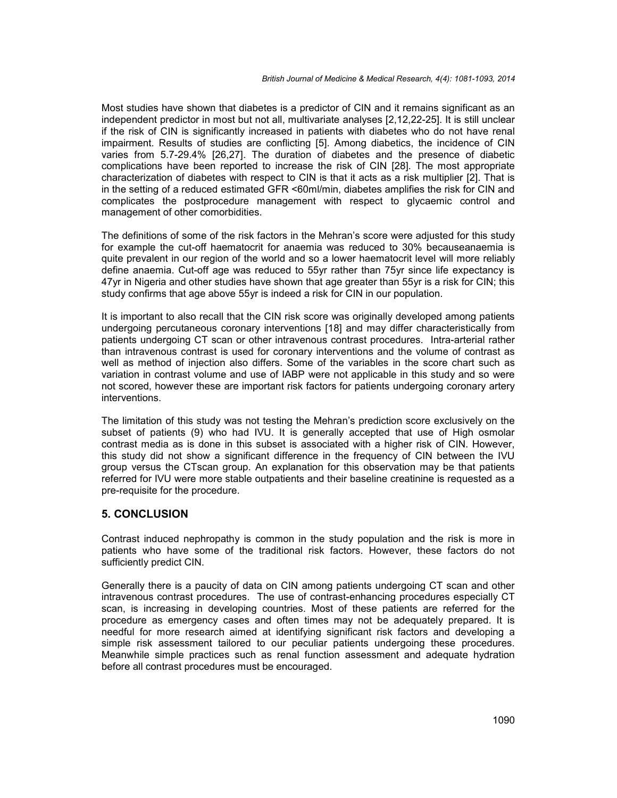Most studies have shown that diabetes is a predictor of CIN and it remains significant as an independent predictor in most but not all, multivariate analyses [2,12,22-25]. It is still unclear if the risk of CIN is significantly increased in patients with diabetes who do not have renal impairment. Results of studies are conflicting [5]. Among diabetics, the incidence of CIN varies from 5.7-29.4% [26,27]. The duration of diabetes and the presence of diabetic complications have been reported to increase the risk of CIN [28]. The most appropriate characterization of diabetes with respect to CIN is that it acts as a risk multiplier [2]. That is in the setting of a reduced estimated GFR <60ml/min, diabetes amplifies the risk for CIN and complicates the postprocedure management with respect to glycaemic control and management of other comorbidities.

The definitions of some of the risk factors in the Mehran's score were adjusted for this study for example the cut-off haematocrit for anaemia was reduced to 30% becauseanaemia is quite prevalent in our region of the world and so a lower haematocrit level will more reliably define anaemia. Cut-off age was reduced to 55yr rather than 75yr since life expectancy is 47yr in Nigeria and other studies have shown that age greater than 55yr is a risk for CIN; this study confirms that age above 55yr is indeed a risk for CIN in our population.

It is important to also recall that the CIN risk score was originally developed among patients undergoing percutaneous coronary interventions [18] and may differ characteristically from patients undergoing CT scan or other intravenous contrast procedures. Intra-arterial rather than intravenous contrast is used for coronary interventions and the volume of contrast as well as method of injection also differs. Some of the variables in the score chart such as variation in contrast volume and use of IABP were not applicable in this study and so were not scored, however these are important risk factors for patients undergoing coronary artery interventions.

The limitation of this study was not testing the Mehran's prediction score exclusively on the subset of patients (9) who had IVU. It is generally accepted that use of High osmolar contrast media as is done in this subset is associated with a higher risk of CIN. However, this study did not show a significant difference in the frequency of CIN between the IVU group versus the CTscan group. An explanation for this observation may be that patients referred for IVU were more stable outpatients and their baseline creatinine is requested as a pre-requisite for the procedure.

## **5. CONCLUSION**

Contrast induced nephropathy is common in the study population and the risk is more in patients who have some of the traditional risk factors. However, these factors do not sufficiently predict CIN.

Generally there is a paucity of data on CIN among patients undergoing CT scan and other intravenous contrast procedures. The use of contrast-enhancing procedures especially CT scan, is increasing in developing countries. Most of these patients are referred for the procedure as emergency cases and often times may not be adequately prepared. It is needful for more research aimed at identifying significant risk factors and developing a simple risk assessment tailored to our peculiar patients undergoing these procedures. Meanwhile simple practices such as renal function assessment and adequate hydration before all contrast procedures must be encouraged.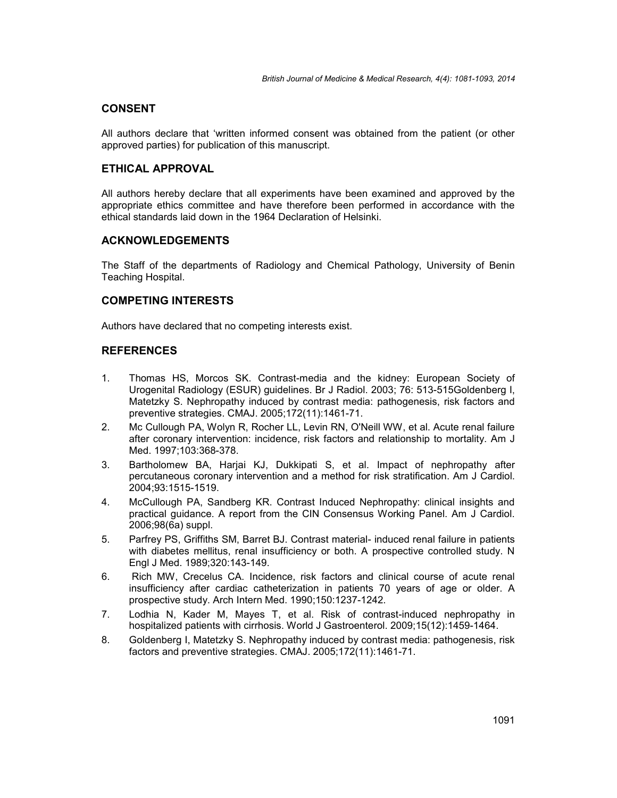## **CONSENT**

All authors declare that 'written informed consent was obtained from the patient (or other approved parties) for publication of this manuscript.

## **ETHICAL APPROVAL**

All authors hereby declare that all experiments have been examined and approved by the appropriate ethics committee and have therefore been performed in accordance with the ethical standards laid down in the 1964 Declaration of Helsinki.

#### **ACKNOWLEDGEMENTS**

The Staff of the departments of Radiology and Chemical Pathology, University of Benin Teaching Hospital.

### **COMPETING INTERESTS**

Authors have declared that no competing interests exist.

## **REFERENCES**

- 1. Thomas HS, Morcos SK. Contrast-media and the kidney: European Society of Urogenital Radiology (ESUR) guidelines. Br J Radiol. 2003; 76: 513-515Goldenberg I, Matetzky S. Nephropathy induced by contrast media: pathogenesis, risk factors and preventive strategies. CMAJ. 2005;172(11):1461-71.
- 2. Mc Cullough PA, Wolyn R, Rocher LL, Levin RN, O'Neill WW, et al. Acute renal failure after coronary intervention: incidence, risk factors and relationship to mortality. Am J Med. 1997;103:368-378.
- 3. Bartholomew BA, Harjai KJ, Dukkipati S, et al. Impact of nephropathy after percutaneous coronary intervention and a method for risk stratification. Am J Cardiol. 2004;93:1515-1519.
- 4. McCullough PA, Sandberg KR. Contrast Induced Nephropathy: clinical insights and practical guidance. A report from the CIN Consensus Working Panel. Am J Cardiol. 2006;98(6a) suppl.
- 5. Parfrey PS, Griffiths SM, Barret BJ. Contrast material- induced renal failure in patients with diabetes mellitus, renal insufficiency or both. A prospective controlled study. N Engl J Med. 1989;320:143-149.
- 6. Rich MW, Crecelus CA. Incidence, risk factors and clinical course of acute renal insufficiency after cardiac catheterization in patients 70 years of age or older. A prospective study. Arch Intern Med. 1990;150:1237-1242.
- 7. Lodhia N, Kader M, Mayes T, et al. Risk of contrast-induced nephropathy in hospitalized patients with cirrhosis. World J Gastroenterol. 2009;15(12):1459-1464.
- 8. Goldenberg I, Matetzky S. Nephropathy induced by contrast media: pathogenesis, risk factors and preventive strategies. CMAJ. 2005;172(11):1461-71.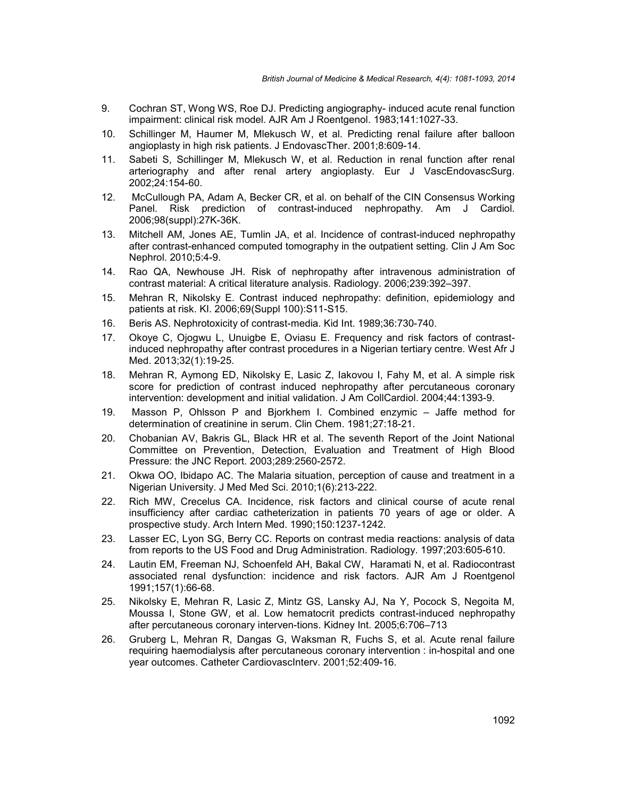- 9. Cochran ST, Wong WS, Roe DJ. Predicting angiography- induced acute renal function impairment: clinical risk model. AJR Am J Roentgenol. 1983;141:1027-33.
- 10. Schillinger M, Haumer M, Mlekusch W, et al. Predicting renal failure after balloon angioplasty in high risk patients. J EndovascTher. 2001;8:609-14.
- 11. Sabeti S, Schillinger M, Mlekusch W, et al. Reduction in renal function after renal arteriography and after renal artery angioplasty. Eur J VascEndovascSurg. 2002;24:154-60.
- 12. McCullough PA, Adam A, Becker CR, et al. on behalf of the CIN Consensus Working Panel. Risk prediction of contrast-induced nephropathy. Am J Cardiol. 2006;98(suppl):27K-36K.
- 13. Mitchell AM, Jones AE, Tumlin JA, et al. Incidence of contrast-induced nephropathy after contrast-enhanced computed tomography in the outpatient setting. Clin J Am Soc Nephrol. 2010;5:4-9.
- 14. Rao QA, Newhouse JH. Risk of nephropathy after intravenous administration of contrast material: A critical literature analysis. Radiology. 2006;239:392–397.
- 15. Mehran R, Nikolsky E. Contrast induced nephropathy: definition, epidemiology and patients at risk. KI. 2006;69(Suppl 100):S11-S15.
- 16. Beris AS. Nephrotoxicity of contrast-media. Kid Int. 1989;36:730-740.
- 17. Okoye C, Ojogwu L, Unuigbe E, Oviasu E. Frequency and risk factors of contrastinduced nephropathy after contrast procedures in a Nigerian tertiary centre. West Afr J Med. 2013;32(1):19-25.
- 18. Mehran R, Aymong ED, Nikolsky E, Lasic Z, Iakovou I, Fahy M, et al. A simple risk score for prediction of contrast induced nephropathy after percutaneous coronary intervention: development and initial validation. J Am CollCardiol. 2004;44:1393-9.
- 19. Masson P, Ohlsson P and Bjorkhem I. Combined enzymic Jaffe method for determination of creatinine in serum. Clin Chem. 1981;27:18-21.
- 20. Chobanian AV, Bakris GL, Black HR et al. The seventh Report of the Joint National Committee on Prevention, Detection, Evaluation and Treatment of High Blood Pressure: the JNC Report. 2003;289:2560-2572.
- 21. Okwa OO, Ibidapo AC. The Malaria situation, perception of cause and treatment in a Nigerian University. J Med Med Sci. 2010;1(6):213-222.
- 22. Rich MW, Crecelus CA. Incidence, risk factors and clinical course of acute renal insufficiency after cardiac catheterization in patients 70 years of age or older. A prospective study. Arch Intern Med. 1990;150:1237-1242.
- 23. Lasser EC, Lyon SG, Berry CC. Reports on contrast media reactions: analysis of data from reports to the US Food and Drug Administration. Radiology. 1997;203:605-610.
- 24. Lautin EM, Freeman NJ, Schoenfeld AH, Bakal CW, Haramati N, et al. Radiocontrast associated renal dysfunction: incidence and risk factors. AJR Am J Roentgenol 1991;157(1):66-68.
- 25. Nikolsky E, Mehran R, Lasic Z, Mintz GS, Lansky AJ, Na Y, Pocock S, Negoita M, Moussa I, Stone GW, et al. Low hematocrit predicts contrast-induced nephropathy after percutaneous coronary interven-tions. Kidney Int.2005;6:706–713
- 26. Gruberg L, Mehran R, Dangas G, Waksman R, Fuchs S, et al. Acute renal failure requiring haemodialysis after percutaneous coronary intervention : in-hospital and one year outcomes. Catheter CardiovascInterv. 2001;52:409-16.